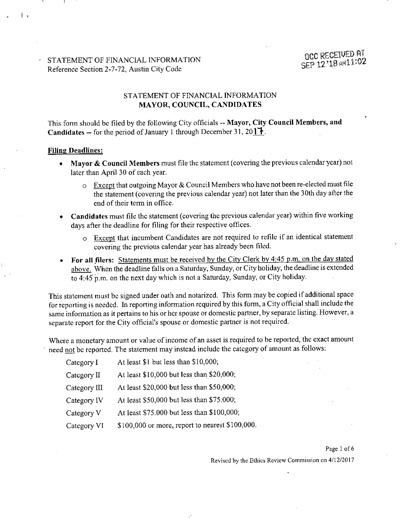# STATEMENT OF FINANCIAL INFORMATION DECRECEIVED AT Reference Section 2-7-72, Austin City Code

## STATEMENT OF FINANCIAL INFORMATION MAYOR, COUNCIL, CANDIDATES

This form should be filed by the following City officials -- Mayor, City Council Members, and **Candidates --** for the period of January 1 through December 31, 20  $\uparrow \uparrow$ .

#### Filing Deadlines:

- Mayor & Council Members must file the statement (covering the previous calendar year) not later than April 30 of each year.
	- o Except that outgoing Mayor & Council Members who have not been re-elected must file the statement (covering the previous calendar year) not later than the 30th day after the end of their term in office.
- Candidates must file the statement (covering the previous calendar year) within five working days after the deadline for filing for their respective offices.
	- o Except that incumbent Candidates are not required to refile if an identical statement covering the previous calendar year has already been filed.
- For all filers: Statements must be received by the City Clerk by 4:45 p.m. on the day stated above. When the deadline falls on a Saturday, Sunday, or City holiday, the deadline is extended to 4:45' p.m. on the next day which is not a Saturday, Sunday, or City holiday.

This statement must be signed under oath and notarized. This form may be copied if additional space for reporting is needed. In reporting information required by this form, a City official shall include the same information as it pertains to his or her spouse or domesfic partner, by separate listing. However, a separate report for the City official's spouse or domesfic partner is not required.

Where a monetary amount or value of income of an asset is required to be reported, the exact amount need not be reported. The statement may instead include the category of amount as follows:

| Category I   | At least \$1 but less than \$10,000;               |
|--------------|----------------------------------------------------|
| Category II  | At least \$10,000 but less than \$20,000;          |
| Category III | At least $$20,000$ but less than $$50,000$ ;       |
| Category IV  | At least \$50,000 but less than \$75.000;          |
| Category V   | At least \$75.000 but less than \$100,000;         |
| Category VI  | $$100,000$ or more, report to nearest $$100,000$ . |

#### Page 1 of 6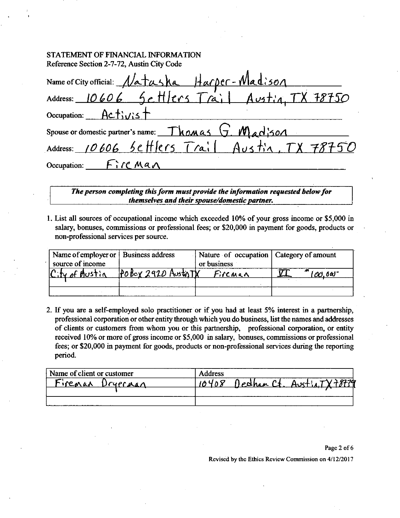#### STATEMENT OF FINANCIAL INFORMATION Reference Section 2-7-72, Austin City Code

| Name of City official: Natasha Harper-Madison<br>Address: 10606 Settlers Trail Austin, TX 78750 |
|-------------------------------------------------------------------------------------------------|
|                                                                                                 |
| Occupation: $Activis$                                                                           |
| Spouse or domestic partner's name: Thomas G. Madjson                                            |
| Address: 10606 Settlers Trail Austin, TX 78750                                                  |
| Occupation: $\int f' \wedge \mathcal{C} \wedge \mathcal{A} \wedge \mathcal{C}$                  |

*The person completing this form must provide the information requested below for themselves and their spouse/domestic partner.* 

1. List all sources of occupational income which exceeded 10% of your gross income or \$5,000 in salary, bonuses, commissions or professional fees; or \$20,000 in payment for goods, products or non-professional services per source.

| Name of employer or   Business address |                       | Nature of occupation   Category of amount |                 |
|----------------------------------------|-----------------------|-------------------------------------------|-----------------|
| source of income                       |                       | or business                               |                 |
| City of Hustin                         | $P$ 0 Box 2920 Austri | Fireman                                   | $'OO,0$ of $^-$ |
|                                        |                       |                                           |                 |
|                                        |                       |                                           |                 |

2. If you are a self-employed solo practitioner or if you had at least 5% interest in a partnership, professional corporation or other entity through which you do business, Ust the names and addresses of clients or customers from whom you or this partnership, professional corporation, or entity received 10% or more of gross income or \$5,000 in salary, bonuses, commissions or professional fees; or \$20,000 in payment for goods, products or non-professional services during the reporting period.

| Name of client or customer | <b>Address</b>            |
|----------------------------|---------------------------|
| Firenan<br>$L$ Pryprinan   | Dechan Ct. Aust!<br>10408 |
|                            |                           |
|                            |                           |

#### Page 2 of 6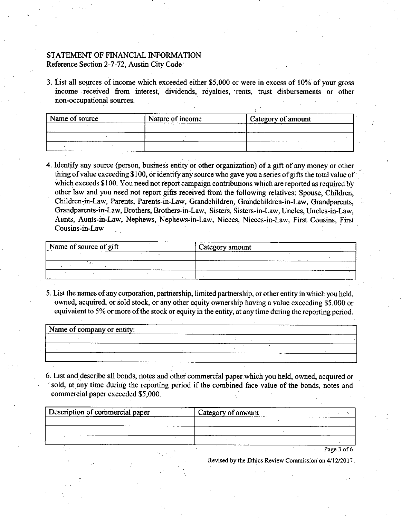## STATEMENT OF FINANCIAL INFORMATION Reference Section 2-7-72, Austin City Code

3. List all sources of income which exceeded either \$5,000 or were in excess of 10% of your gross income received from interest, dividends, royalties, rents, trust disbursements or other non-occupational sources.

| Name of source   | Nature of income<br>____________ | Category of amount |  |
|------------------|----------------------------------|--------------------|--|
| ----             | ----                             |                    |  |
| _______<br>_____ |                                  |                    |  |
|                  |                                  |                    |  |

4. Identify any source (person, business entity or other organization) of a gift of any money or other thing of value exceeding \$ 100, or identify any source who gave you a series of gifts the total value of which exceeds \$100. You need not report campaign contributions which are reported as required by other law and you need not report gifts received from the following relatives: Spouse, Children, Children-in-Law, Parents, Parents-in-Law, Grandchildren, Grandchildren-in-Law, Grandparents, Grandparents-in-Law, Brothers, Brothers-in-Law, Sisters, Sisters-in-Law, Uncles, Uncles-in-Law, Aunts, Aunts-in-Law, Nephews, Nephews-in-Law, Nieces, Nieces-in-Law, First Cousins, First Cousins-in-Law

| Name of source of gift | ستستحد<br>Category amount<br>---------- |
|------------------------|-----------------------------------------|
| ----------             |                                         |
| -----                  | $\sim$                                  |
|                        | ----------<br>-----                     |

5. List the names of any corporation, partnership, limited partnership, or other entity in which you held, owned, acquired, or sold stock, or any other equity ownership having a value exceeding \$5,000 or equivalent to 5% or more of the stock or equity in the entity, at any time during the reporting period.

| Name of company or entity:<br>------- |  |  |  |         |
|---------------------------------------|--|--|--|---------|
| .                                     |  |  |  | _______ |
|                                       |  |  |  |         |
|                                       |  |  |  |         |

6. List and describe all bonds, notes and other commercial paper which you held, ovraed, acquired or sold, at any time during the reporting period if the combined face value of the bonds, notes and commercial paper exceeded \$5,000.

| Description of commercial paper |  | Category of amount |  |  |             |
|---------------------------------|--|--------------------|--|--|-------------|
|                                 |  |                    |  |  |             |
|                                 |  |                    |  |  |             |
|                                 |  |                    |  |  |             |
|                                 |  |                    |  |  | Page 3 of 6 |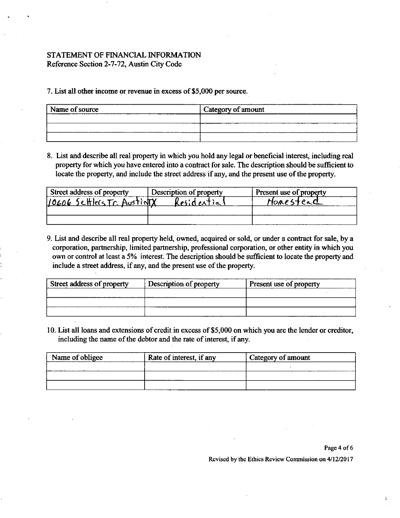### STATEMENT OF FINANCIAL INFORMATION Reference Section 2-7-72, Austin City Code

7. List all other income OT revenue in excess of \$5,000 per source.

| Name of source | Category of amount |
|----------------|--------------------|
|                |                    |
|                |                    |
|                |                    |

8. List and describe all real property in which you hold any legal or beneficial interest, including real property for which you have entered into a contract for sale. The description should be sufficient to locate the property, and include the street address if any, and the present use of the property.

| Street address of property  | Description of property | Present use of property |
|-----------------------------|-------------------------|-------------------------|
| 10606 Settlers Tr. AustinTX | Kesides                 | HORESTEAC               |
|                             |                         |                         |
|                             |                         |                         |

9. List and describe all real property held, owned, acquired or sold, or under a confract for sale, by a corporation, partnership, limited partnership, professional corporation, or other entity in which you own or control at least a 5% interest. The description should be sufficient to locate the property and include a street address, if any, and the present use of the property.

| Street address of property | Description of property | Present use of property |
|----------------------------|-------------------------|-------------------------|
|                            |                         |                         |
|                            |                         |                         |
|                            |                         |                         |

10. List all loans and extensions of credit in excess of \$5,000 on which you are the lender or creditor, including the name of the debtor and the rate of interest, if any.

| Name of obligee | Rate of interest, if any | <sup>1</sup> Category of amount |
|-----------------|--------------------------|---------------------------------|
|                 |                          |                                 |
|                 |                          |                                 |
|                 |                          |                                 |

Page 4 of 6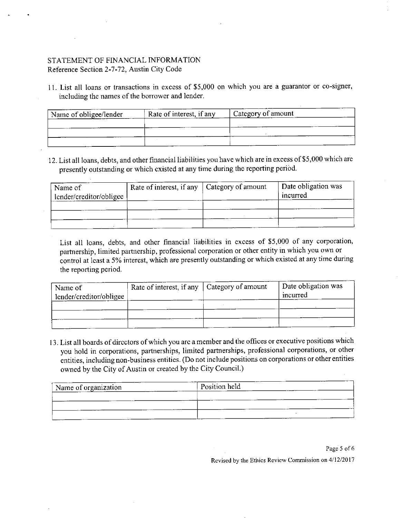### STATEMENT OF FINANCIAL INFORMATION Reference Section 2-7-72, Ausfin City Code

11. List all loans or transactions in excess of \$5,000 on which you are a guarantor or co-signer, including the names of the borrower and lender.

| Rate of interest, if any<br>Name of obligee/lender |  | Category of amount |  |
|----------------------------------------------------|--|--------------------|--|
|                                                    |  |                    |  |
|                                                    |  |                    |  |
|                                                    |  |                    |  |

12. List all loans, debts, and other financial liabilifies you have which are in excess of \$5,000 which are presently outstanding or which existed at any time during the reporting period.

| Name of<br>lender/creditor/obligee | Rate of interest, if any $\vert$ Category of amount | Date obligation was<br>meurred |
|------------------------------------|-----------------------------------------------------|--------------------------------|
|                                    |                                                     |                                |
|                                    |                                                     |                                |
|                                    |                                                     |                                |

List all loans, debts, and other financial liabilifies in excess of \$5,000 of any corporafion, partnership, limited partnership, professional corporation or other entity in which you own or control at least a 5% interest, which are presently outstanding or which existed at any time during the reporting period.

| Name of<br>lender/creditor/obligee | Rate of interest, if any   Category of amount | Date obligation was<br>incurred |
|------------------------------------|-----------------------------------------------|---------------------------------|
|                                    |                                               |                                 |
|                                    |                                               |                                 |

13. List all boards of directors of which you are a member and the offices or executive positions which you hold in corporations, partnerships, limited partnerships, professional corporations, or other entities, including non-business entities. (Do not include positions on corporations or other entities owned by the City of Austin or created by the City Council.)

| Name of organization | Position held |  |
|----------------------|---------------|--|
|                      |               |  |
|                      |               |  |
|                      |               |  |